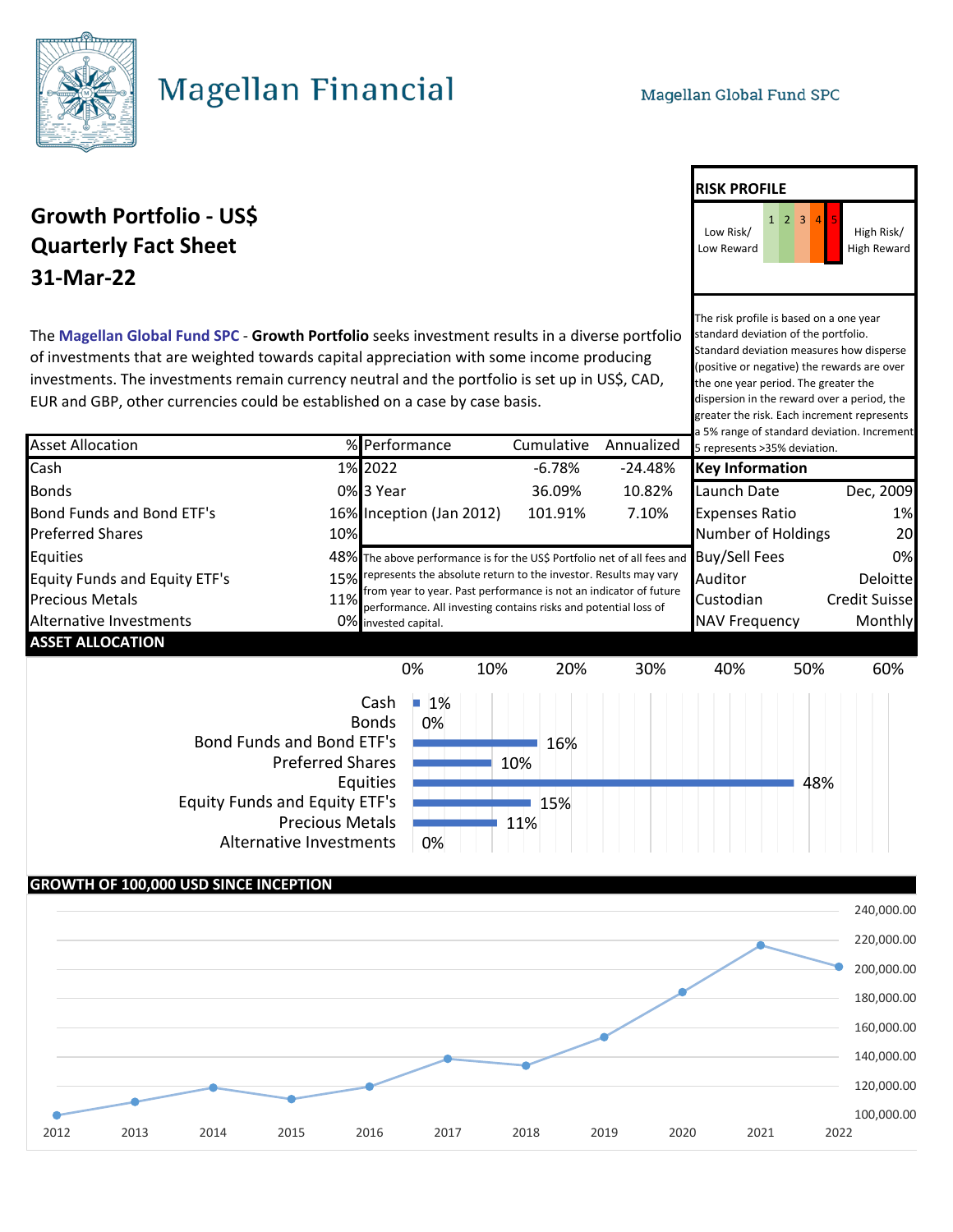

# **Magellan Financial**

## **Growth Portfolio - US\$** 1 2 3 **Quarterly Fact Sheet 31-Mar-22**

The **Magellan Global Fund SPC** - **Growth Portfolio** seeks investment results in a diverse portfolio of investments that are weighted towards capital appreciation with some income producing investments. The investments remain currency neutral and the portfolio is set up in US\$, CAD, EUR and GBP, other currencies could be established on a case by case basis.

Asset Allocation % Performance Cumulative Annualized Cash 1% 2022 -6.78% -24.48% **Key Information** Bonds 0% 3 Year 36.09% 10.82% Launch Date Dec, 2009 Bond Funds and Bond ETF's 16% Inception (Jan 2012) 101.91% 7.10% Expenses Ratio 1% Preferred Shares **10%** 10% 10% **Number of Holdings** 20 Equities **Example 20 THS ASS** The above performance is for the US\$ Portfolio net of all fees and BUY/Sell Fees **O**% Equity Funds and Equity ETF's 15% represents the absolute return to the investor. Results may vary Auditor Deloitte Precious Metals **11%** Promised to year the send of the structure is not an indicator of tatale custodian Credit Suisse Alternative Investments **Alternative Investments** 10% Invested capital. **ASSET ALLOCATION** a 5% range of standard deviation. Increment 5 represents >35% deviation. from year to year. Past performance is not an indicator of future invested capital.  $\Box$  1% 0% 10% 20% 30% 40% 50% 60% Cash

0% 0% Bonds Bond Funds and Bond ETF's Preferred Shares Equities Equity Funds and Equity ETF's Precious Metals Alternative Investments



#### **GROWTH OF 100,000 USD SINCE INCEPTION**



### **RISK PROFILE**



The risk profile is based on a one year standard deviation of the portfolio. Standard deviation measures how disperse (positive or negative) the rewards are over the one year period. The greater the dispersion in the reward over a period, the greater the risk. Each increment represents